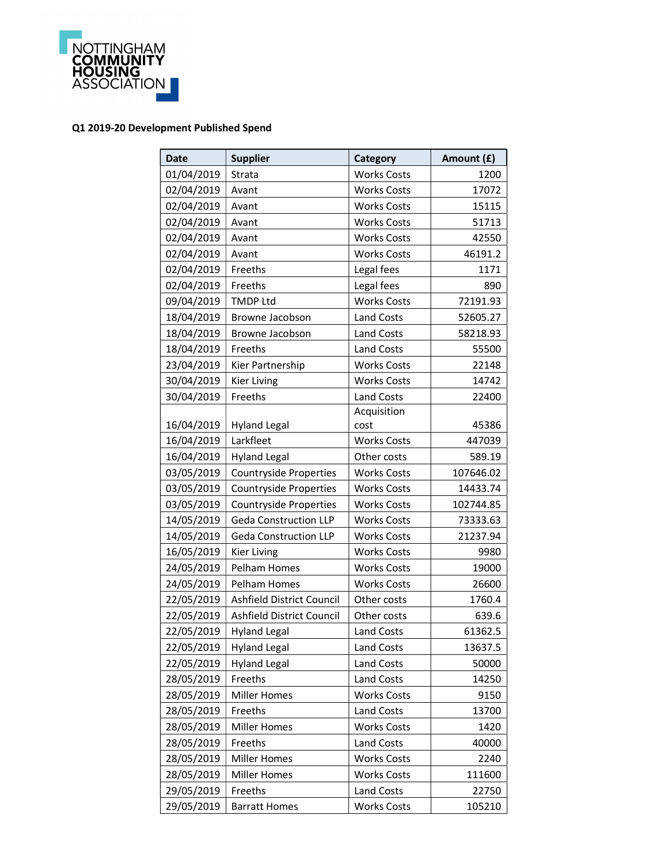

## Q1 2019-20 Development Published Spend

| <b>Date</b> | <b>Supplier</b>               | <b>Category</b>    | Amount (£) |
|-------------|-------------------------------|--------------------|------------|
| 01/04/2019  | Strata                        | <b>Works Costs</b> | 1200       |
| 02/04/2019  | Avant                         | <b>Works Costs</b> | 17072      |
| 02/04/2019  | Avant                         | <b>Works Costs</b> | 15115      |
| 02/04/2019  | Avant                         | <b>Works Costs</b> | 51713      |
| 02/04/2019  | Avant                         | <b>Works Costs</b> | 42550      |
| 02/04/2019  | Avant                         | <b>Works Costs</b> | 46191.2    |
| 02/04/2019  | Freeths                       | Legal fees         | 1171       |
| 02/04/2019  | Freeths                       | Legal fees         | 890        |
| 09/04/2019  | <b>TMDP Ltd</b>               | <b>Works Costs</b> | 72191.93   |
| 18/04/2019  | Browne Jacobson               | <b>Land Costs</b>  | 52605.27   |
| 18/04/2019  | Browne Jacobson               | <b>Land Costs</b>  | 58218.93   |
| 18/04/2019  | Freeths                       | Land Costs         | 55500      |
| 23/04/2019  | Kier Partnership              | <b>Works Costs</b> | 22148      |
| 30/04/2019  | <b>Kier Living</b>            | <b>Works Costs</b> | 14742      |
| 30/04/2019  | Freeths                       | <b>Land Costs</b>  | 22400      |
|             |                               | Acquisition        |            |
| 16/04/2019  | <b>Hyland Legal</b>           | cost               | 45386      |
| 16/04/2019  | Larkfleet                     | <b>Works Costs</b> | 447039     |
| 16/04/2019  | <b>Hyland Legal</b>           | Other costs        | 589.19     |
| 03/05/2019  | <b>Countryside Properties</b> | <b>Works Costs</b> | 107646.02  |
| 03/05/2019  | Countryside Properties        | <b>Works Costs</b> | 14433.74   |
| 03/05/2019  | Countryside Properties        | <b>Works Costs</b> | 102744.85  |
| 14/05/2019  | <b>Geda Construction LLP</b>  | <b>Works Costs</b> | 73333.63   |
| 14/05/2019  | <b>Geda Construction LLP</b>  | <b>Works Costs</b> | 21237.94   |
| 16/05/2019  | <b>Kier Living</b>            | <b>Works Costs</b> | 9980       |
| 24/05/2019  | Pelham Homes                  | <b>Works Costs</b> | 19000      |
| 24/05/2019  | Pelham Homes                  | <b>Works Costs</b> | 26600      |
| 22/05/2019  | Ashfield District Council     | Other costs        | 1760.4     |
| 22/05/2019  | Ashfield District Council     | Other costs        | 639.6      |
| 22/05/2019  | <b>Hyland Legal</b>           | <b>Land Costs</b>  | 61362.5    |
| 22/05/2019  | <b>Hyland Legal</b>           | Land Costs         | 13637.5    |
| 22/05/2019  | <b>Hyland Legal</b>           | Land Costs         | 50000      |
| 28/05/2019  | Freeths                       | Land Costs         | 14250      |
| 28/05/2019  | <b>Miller Homes</b>           | <b>Works Costs</b> | 9150       |
| 28/05/2019  | Freeths                       | <b>Land Costs</b>  | 13700      |
| 28/05/2019  | <b>Miller Homes</b>           | <b>Works Costs</b> | 1420       |
| 28/05/2019  | Freeths                       | Land Costs         | 40000      |
| 28/05/2019  | <b>Miller Homes</b>           | <b>Works Costs</b> | 2240       |
| 28/05/2019  | <b>Miller Homes</b>           | <b>Works Costs</b> | 111600     |
| 29/05/2019  | Freeths                       | Land Costs         | 22750      |
| 29/05/2019  | <b>Barratt Homes</b>          | <b>Works Costs</b> | 105210     |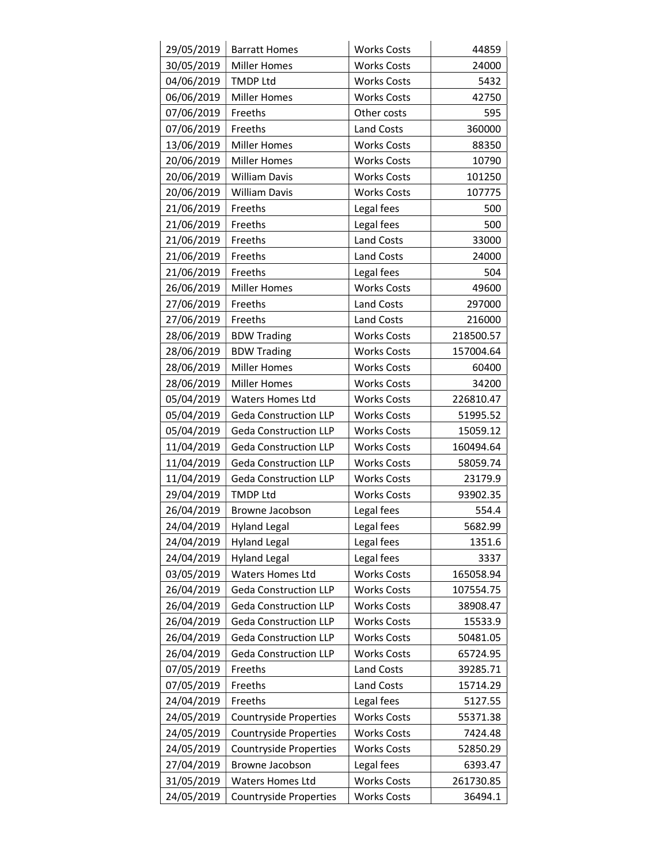| 29/05/2019 | <b>Barratt Homes</b>          | <b>Works Costs</b> | 44859     |
|------------|-------------------------------|--------------------|-----------|
| 30/05/2019 | Miller Homes                  | <b>Works Costs</b> | 24000     |
| 04/06/2019 | <b>TMDP Ltd</b>               | <b>Works Costs</b> | 5432      |
| 06/06/2019 | <b>Miller Homes</b>           | <b>Works Costs</b> | 42750     |
| 07/06/2019 | Freeths                       | Other costs        | 595       |
| 07/06/2019 | Freeths                       | Land Costs         | 360000    |
| 13/06/2019 | <b>Miller Homes</b>           | <b>Works Costs</b> | 88350     |
| 20/06/2019 | <b>Miller Homes</b>           | <b>Works Costs</b> | 10790     |
| 20/06/2019 | <b>William Davis</b>          | <b>Works Costs</b> | 101250    |
| 20/06/2019 | <b>William Davis</b>          | <b>Works Costs</b> | 107775    |
| 21/06/2019 | Freeths                       | Legal fees         | 500       |
| 21/06/2019 | Freeths                       | Legal fees         | 500       |
| 21/06/2019 | Freeths                       | Land Costs         | 33000     |
| 21/06/2019 | Freeths                       | <b>Land Costs</b>  | 24000     |
| 21/06/2019 | Freeths                       | Legal fees         | 504       |
| 26/06/2019 | <b>Miller Homes</b>           | <b>Works Costs</b> | 49600     |
| 27/06/2019 | Freeths                       | <b>Land Costs</b>  | 297000    |
| 27/06/2019 | Freeths                       | <b>Land Costs</b>  | 216000    |
| 28/06/2019 | <b>BDW Trading</b>            | <b>Works Costs</b> | 218500.57 |
| 28/06/2019 | <b>BDW Trading</b>            | <b>Works Costs</b> | 157004.64 |
| 28/06/2019 | <b>Miller Homes</b>           | <b>Works Costs</b> | 60400     |
| 28/06/2019 | <b>Miller Homes</b>           | <b>Works Costs</b> | 34200     |
| 05/04/2019 | <b>Waters Homes Ltd</b>       | <b>Works Costs</b> | 226810.47 |
| 05/04/2019 | <b>Geda Construction LLP</b>  | <b>Works Costs</b> | 51995.52  |
| 05/04/2019 | <b>Geda Construction LLP</b>  | <b>Works Costs</b> | 15059.12  |
| 11/04/2019 | <b>Geda Construction LLP</b>  | <b>Works Costs</b> | 160494.64 |
| 11/04/2019 | <b>Geda Construction LLP</b>  | <b>Works Costs</b> | 58059.74  |
| 11/04/2019 | <b>Geda Construction LLP</b>  | <b>Works Costs</b> | 23179.9   |
| 29/04/2019 | <b>TMDP Ltd</b>               | <b>Works Costs</b> | 93902.35  |
| 26/04/2019 | Browne Jacobson               | Legal fees         | 554.4     |
| 24/04/2019 | <b>Hyland Legal</b>           | Legal fees         | 5682.99   |
| 24/04/2019 | <b>Hyland Legal</b>           | Legal fees         | 1351.6    |
| 24/04/2019 | <b>Hyland Legal</b>           | Legal fees         | 3337      |
| 03/05/2019 | Waters Homes Ltd              | <b>Works Costs</b> | 165058.94 |
| 26/04/2019 | <b>Geda Construction LLP</b>  | <b>Works Costs</b> | 107554.75 |
| 26/04/2019 | <b>Geda Construction LLP</b>  | <b>Works Costs</b> | 38908.47  |
| 26/04/2019 | <b>Geda Construction LLP</b>  | <b>Works Costs</b> | 15533.9   |
| 26/04/2019 | <b>Geda Construction LLP</b>  | <b>Works Costs</b> | 50481.05  |
| 26/04/2019 | <b>Geda Construction LLP</b>  | <b>Works Costs</b> | 65724.95  |
| 07/05/2019 | Freeths                       | Land Costs         | 39285.71  |
| 07/05/2019 | Freeths                       | Land Costs         | 15714.29  |
| 24/04/2019 | Freeths                       | Legal fees         | 5127.55   |
| 24/05/2019 | Countryside Properties        | <b>Works Costs</b> | 55371.38  |
| 24/05/2019 | Countryside Properties        | <b>Works Costs</b> | 7424.48   |
| 24/05/2019 | Countryside Properties        | <b>Works Costs</b> | 52850.29  |
| 27/04/2019 | Browne Jacobson               | Legal fees         | 6393.47   |
| 31/05/2019 | Waters Homes Ltd              | <b>Works Costs</b> | 261730.85 |
| 24/05/2019 | <b>Countryside Properties</b> | <b>Works Costs</b> | 36494.1   |